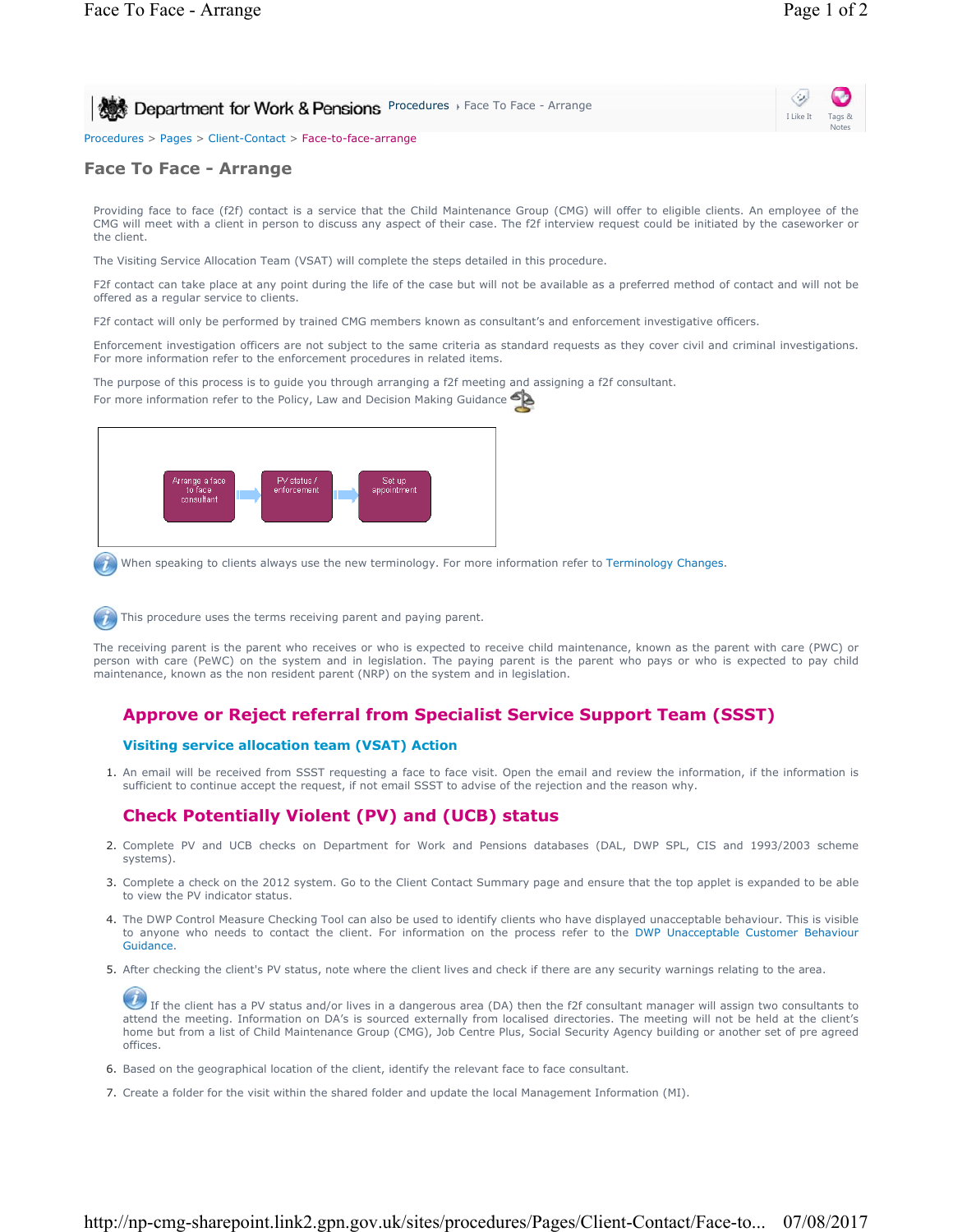**Procedures > Face To Face - Arrange Arrange Inc.** Pensions Procedures > Face To Face - Arrange



Procedures > Pages > Client-Contact > Face-to-face-arrange

### **Face To Face - Arrange**

Providing face to face (f2f) contact is a service that the Child Maintenance Group (CMG) will offer to eligible clients. An employee of the CMG will meet with a client in person to discuss any aspect of their case. The f2f interview request could be initiated by the caseworker or the client.

The Visiting Service Allocation Team (VSAT) will complete the steps detailed in this procedure.

F2f contact can take place at any point during the life of the case but will not be available as a preferred method of contact and will not be offered as a regular service to clients.

F2f contact will only be performed by trained CMG members known as consultant's and enforcement investigative officers.

Enforcement investigation officers are not subject to the same criteria as standard requests as they cover civil and criminal investigations. For more information refer to the enforcement procedures in related items.

The purpose of this process is to guide you through arranging a f2f meeting and assigning a f2f consultant. For more information refer to the Policy, Law and Decision Making Guidance



When speaking to clients always use the new terminology. For more information refer to Terminology Changes.

This procedure uses the terms receiving parent and paying parent.

The receiving parent is the parent who receives or who is expected to receive child maintenance, known as the parent with care (PWC) or person with care (PeWC) on the system and in legislation. The paying parent is the parent who pays or who is expected to pay child maintenance, known as the non resident parent (NRP) on the system and in legislation.

# **Approve or Reject referral from Specialist Service Support Team (SSST)**

#### **Visiting service allocation team (VSAT) Action**

1. An email will be received from SSST requesting a face to face visit. Open the email and review the information, if the information is sufficient to continue accept the request, if not email SSST to advise of the rejection and the reason why.

# **Check Potentially Violent (PV) and (UCB) status**

- 2. Complete PV and UCB checks on Department for Work and Pensions databases (DAL, DWP SPL, CIS and 1993/2003 scheme systems).
- 3. Complete a check on the 2012 system. Go to the Client Contact Summary page and ensure that the top applet is expanded to be able to view the PV indicator status.
- 4. The DWP Control Measure Checking Tool can also be used to identify clients who have displayed unacceptable behaviour. This is visible to anyone who needs to contact the client. For information on the process refer to the DWP Unacceptable Customer Behaviour Guidance.
- 5. After checking the client's PV status, note where the client lives and check if there are any security warnings relating to the area.

If the client has a PV status and/or lives in a dangerous area (DA) then the f2f consultant manager will assign two consultants to attend the meeting. Information on DA's is sourced externally from localised directories. The meeting will not be held at the client's home but from a list of Child Maintenance Group (CMG), Job Centre Plus, Social Security Agency building or another set of pre agreed offices.

- 6. Based on the geographical location of the client, identify the relevant face to face consultant.
- 7. Create a folder for the visit within the shared folder and update the local Management Information (MI).